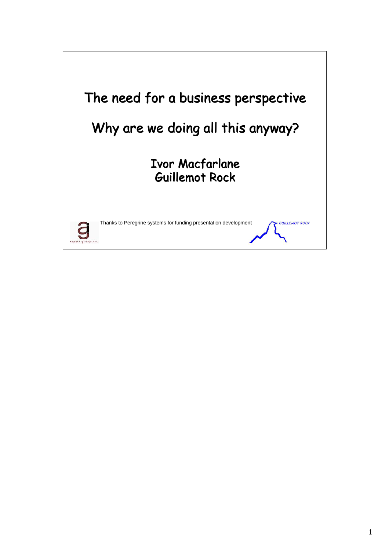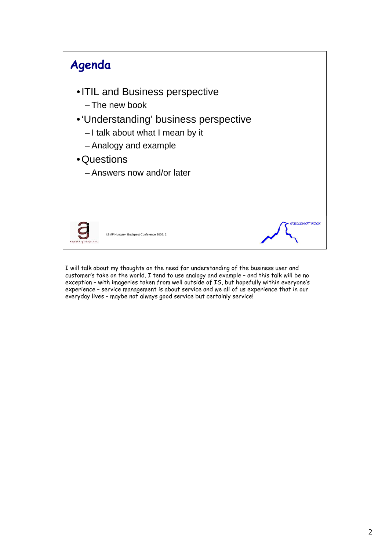

I will talk about my thoughts on the need for understanding of the business user and customer's take on the world. I tend to use analogy and example – and this talk will be no exception – with imageries taken from well outside of IS, but hopefully within everyone's experience – service management is about service and we all of us experience that in our everyday lives - maybe not always good service but certainly service!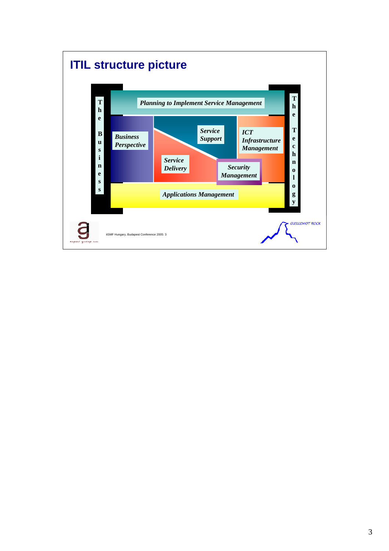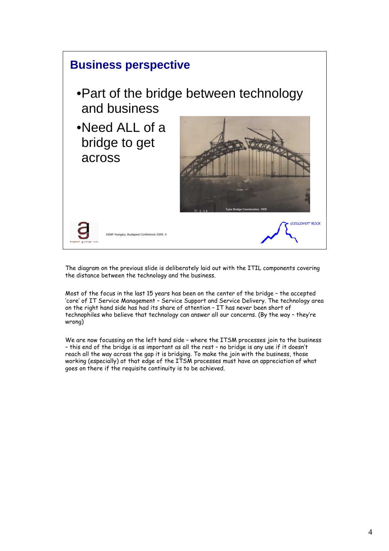

The diagram on the previous slide is deliberately laid out with the ITIL components covering the distance between the technology and the business.

Most of the focus in the last 15 years has been on the center of the bridge – the accepted 'core' of IT Service Management – Service Support and Service Delivery. The technology area on the right hand side has had its share of attention – IT has never been short of technophiles who believe that technology can answer all our concerns. (By the way – they're wrong)

We are now focussing on the left hand side – where the ITSM processes join to the business – this end of the bridge is as important as all the rest – no bridge is any use if it doesn't reach all the way across the gap it is bridging. To make the join with the business, those working (especially) at that edge of the ITSM processes must have an appreciation of what goes on there if the requisite continuity is to be achieved.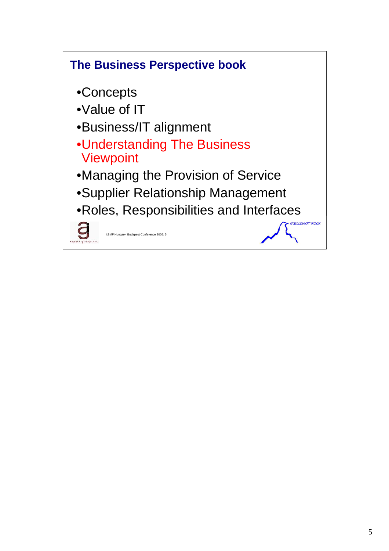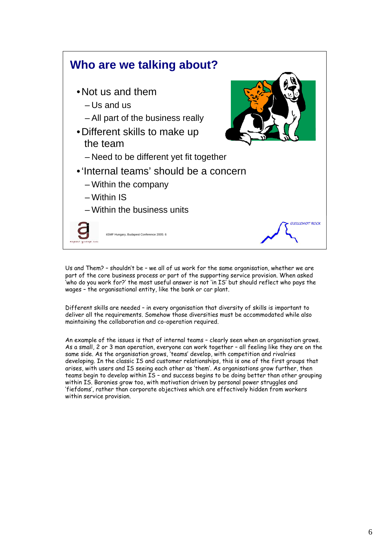

Us and Them? – shouldn't be – we all of us work for the same organisation, whether we are part of the core business process or part of the supporting service provision. When asked 'who do you work for?' the most useful answer is not 'in IS' but should reflect who pays the wages – the organisational entity, like the bank or car plant.

Different skills are needed – in every organisation that diversity of skills is important to deliver all the requirements. Somehow those diversities must be accommodated while also maintaining the collaboration and co-operation required.

An example of the issues is that of internal teams – clearly seen when an organisation grows. As a small, 2 or 3 man operation, everyone can work together – all feeling like they are on the same side. As the organisation grows, 'teams' develop, with competition and rivalries developing. In the classic IS and customer relationships, this is one of the first groups that arises, with users and IS seeing each other as 'them'. As organisations grow further, then teams begin to develop within IS – and success begins to be doing better than other grouping within IS. Baronies grow too, with motivation driven by personal power struggles and 'fiefdoms', rather than corporate objectives which are effectively hidden from workers within service provision.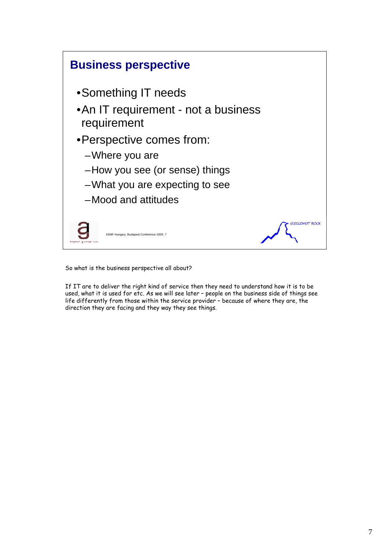

So what is the business perspective all about?

If IT are to deliver the right kind of service then they need to understand how it is to be used, what it is used for etc. As we will see later – people on the business side of things see life differently from those within the service provider – because of where they are, the direction they are facing and they way they see things.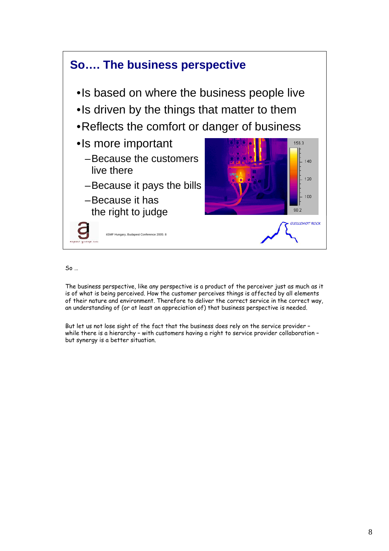

So …

The business perspective, like any perspective is a product of the perceiver just as much as it is of what is being perceived. How the customer perceives things is affected by all elements of their nature and environment. Therefore to deliver the correct service in the correct way, an understanding of (or at least an appreciation of) that business perspective is needed.

But let us not lose sight of the fact that the business does rely on the service provider – while there is a hierarchy – with customers having a right to service provider collaboration – but synergy is a better situation.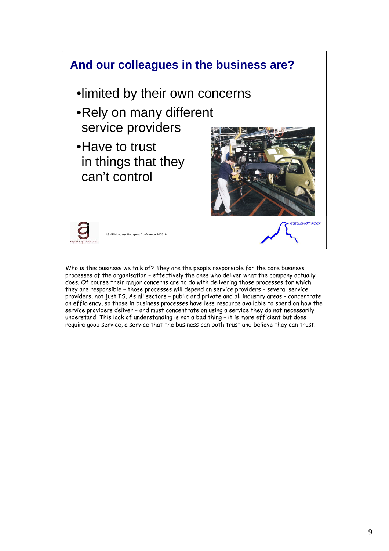

Who is this business we talk of? They are the people responsible for the core business processes of the organisation – effectively the ones who deliver what the company actually does. Of course their major concerns are to do with delivering those processes for which they are responsible – those processes will depend on service providers – several service providers, not just IS. As all sectors – public and private and all industry areas - concentrate on efficiency, so those in business processes have less resource available to spend on how the service providers deliver – and must concentrate on using a service they do not necessarily understand. This lack of understanding is not a bad thing – it is more efficient but does require good service, a service that the business can both trust and believe they can trust.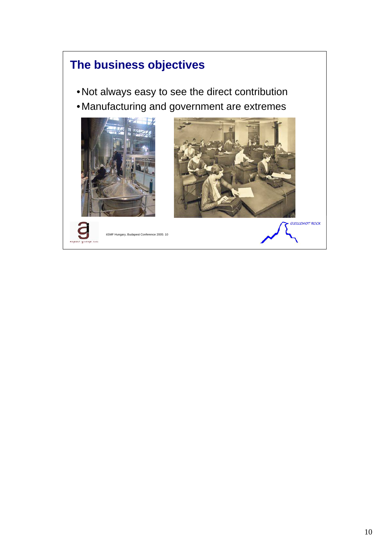## **The business objectives**

- •Not always easy to see the direct contribution
- •Manufacturing and government are extremes







itSMF Hungary, Budapest Conference 2005: 10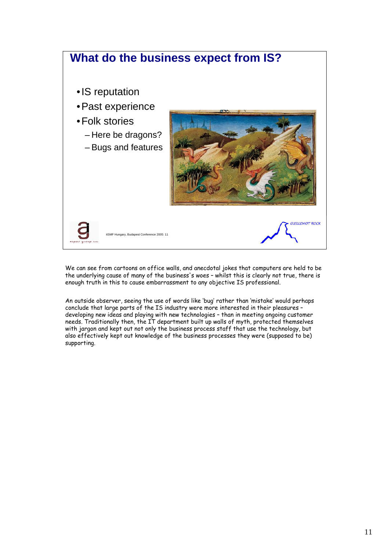

We can see from cartoons on office walls, and anecdotal jokes that computers are held to be the underlying cause of many of the business's woes – whilst this is clearly not true, there is enough truth in this to cause embarrassment to any objective IS professional.

An outside observer, seeing the use of words like 'bug' rather than 'mistake' would perhaps conclude that large parts of the IS industry were more interested in their pleasures – developing new ideas and playing with new technologies – than in meeting ongoing customer needs. Traditionally then, the IT department built up walls of myth, protected themselves with jargon and kept out not only the business process staff that use the technology, but also effectively kept out knowledge of the business processes they were (supposed to be) supporting.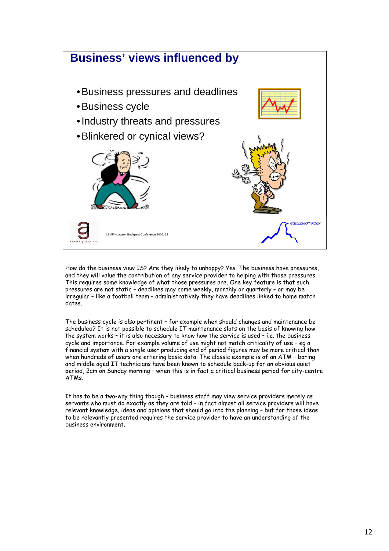

How do the business view IS? Are they likely to unhappy? Yes. The business have pressures, and they will value the contribution of any service provider to helping with those pressures. This requires some knowledge of what those pressures are. One key feature is that such pressures are not static – deadlines may come weekly, monthly or quarterly – or may be irregular – like a football team – administratively they have deadlines linked to home match dates.

The business cycle is also pertinent – for example when should changes and maintenance be scheduled? It is not possible to schedule IT maintenance slots on the basis of knowing how the system works – it is also necessary to know how the service is used – i.e. the business cycle and importance. For example volume of use might not match criticality of use – eg a financial system with a single user producing end of period figures may be more critical than when hundreds of users are entering basic data. The classic example is of an ATM – boring and middle aged IT technicians have been known to schedule back-up for an obvious quiet period, 2am on Sunday morning – when this is in fact a critical business period for city-centre ATMs.

It has to be a two-way thing though - business staff may view service providers merely as servants who must do exactly as they are told – in fact almost all service providers will have relevant knowledge, ideas and opinions that should go into the planning – but for those ideas to be relevantly presented requires the service provider to have an understanding of the business environment.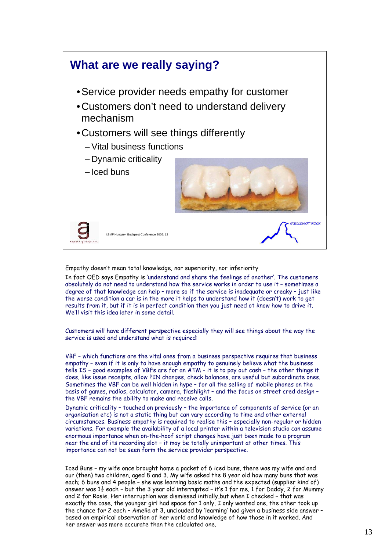

Empathy doesn't mean total knowledge, nor superiority, nor inferiority

In fact OED says Empathy is 'understand and share the feelings of another'. The customers absolutely do not need to understand how the service works in order to use it – sometimes a degree of that knowledge can help – more so if the service is inadequate or creaky – just like the worse condition a car is in the more it helps to understand how it (doesn't) work to get results from it, but if it is in perfect condition then you just need ot know how to drive it. We'll visit this idea later in some detail

Customers will have different perspective especially they will see things about the way the service is used and understand what is required:

VBF – which functions are the vital ones from a business perspective requires that business empathy – even if it is only to have enough empathy to genuinely believe what the business tells IS – good examples of VBFs are for an ATM – it is to pay out cash – the other things it does, like issue receipts, allow PIN changes, check balances, are useful but subordinate ones. Sometimes the VBF can be well hidden in hype – for all the selling of mobile phones on the basis of games, radios, calculator, camera, flashlight – and the focus on street cred design – the VBF remains the ability to make and receive calls.

Dynamic criticality – touched on previously – the importance of components of service (or an organisation etc) is not a static thing but can vary according to time and other external circumstances. Business empathy is required to realise this – especially non-regular or hidden variations. For example the availability of a local printer within a television studio can assume enormous importance when on-the-hoof script changes have just been made to a program near the end of its recording slot – it may be totally unimportant at other times. This importance can not be seen form the service provider perspective.

Iced Buns – my wife once brought home a packet of 6 iced buns, there was my wife and and our (then) two children, aged 8 and 3. My wife asked the 8 year old how many buns that was each; 6 buns and 4 people – she was learning basic maths and the expected (supplier kind of) answer was  $1\frac{1}{2}$  each - but the 3 year old interrupted - it's 1 for me, 1 for Daddy, 2 for Mummy and 2 for Rosie. Her interruption was dismissed initially,but when I checked – that was exactly the case, the younger girl had space for 1 only, I only wanted one, the other took up the chance for 2 each – Amelia at 3, unclouded by 'learning' had given a business side answer – based on empirical observation of her world and knowledge of how those in it worked. And her answer was more accurate than the calculated one.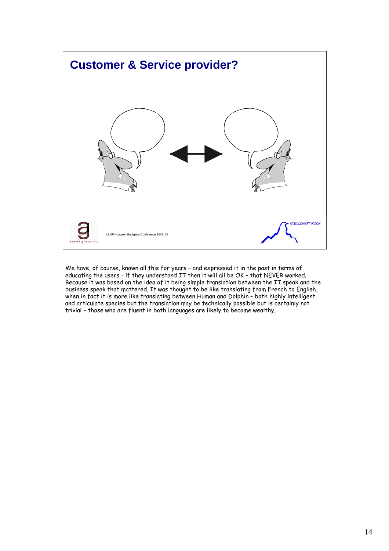

We have, of course, known all this for years – and expressed it in the past in terms of educating the users - if they understand IT then it will all be OK – that NEVER worked. Because it was based on the idea of it being simple translation between the IT speak and the business speak that mattered. It was thought to be like translating from French to English, when in fact it is more like translating between Human and Dolphin – both highly intelligent and articulate species but the translation may be technically possible but is certainly not trivial – those who are fluent in both languages are likely to become wealthy.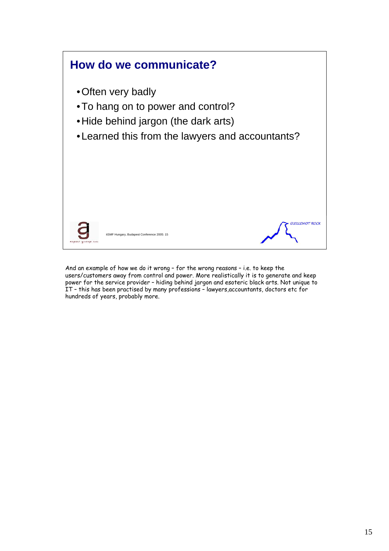

And an example of how we do it wrong – for the wrong reasons – i.e. to keep the users/customers away from control and power. More realistically it is to generate and keep power for the service provider – hiding behind jargon and esoteric black arts. Not unique to IT – this has been practised by many professions – lawyers,accountants, doctors etc for hundreds of years, probably more.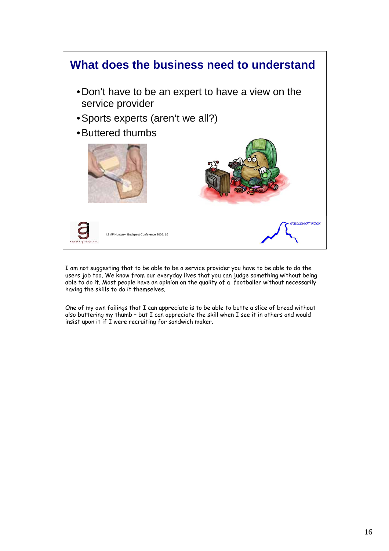

I am not suggesting that to be able to be a service provider you have to be able to do the users job too. We know from our everyday lives that you can judge something without being able to do it. Most people have an opinion on the quality of a footballer without necessarily having the skills to do it themselves.

One of my own failings that I can appreciate is to be able to butte a slice of bread without also buttering my thumb – but I can appreciate the skill when I see it in others and would insist upon it if I were recruiting for sandwich maker.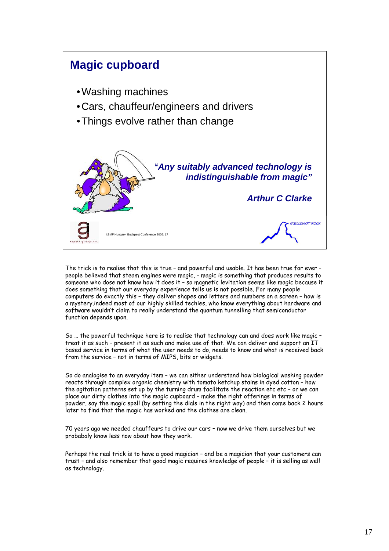

The trick is to realise that this is true – and powerful and usable. It has been true for ever – people believed that steam engines were magic, - magic is something that produces results to someone who dose not know how it does it – so magnetic levitation seems like magic because it does something that our everyday experience tells us is not possible. For many people computers do exactly this - they deliver shapes and letters and numbers on a screen - how is a mystery.indeed most of our highly skilled techies, who know everything about hardware and software wouldn't claim to really understand the quantum tunnelling that semiconductor function depends upon.

So … the powerful technique here is to realise that technology can and does work like magic – treat it as such – present it as such and make use of that. We can deliver and support an IT based service in terms of what the user needs to do, needs to know and what is received back from the service – not in terms of MIPS, bits or widgets.

So do analogise to an everyday item – we can either understand how biological washing powder reacts through complex organic chemistry with tomato ketchup stains in dyed cotton – how the agitation patterns set up by the turning drum facilitate the reaction etc etc - or we can place our dirty clothes into the magic cupboard – make the right offerings in terms of powder, say the magic spell (by setting the dials in the right way) and then come back 2 hours later to find that the magic has worked and the clothes are clean.

70 years ago we needed chauffeurs to drive our cars – now we drive them ourselves but we probabaly know less now about how they work.

Perhaps the real trick is to have a good magician – and be a magician that your customers can trust – and also remember that good magic requires knowledge of people – it is selling as well as technology.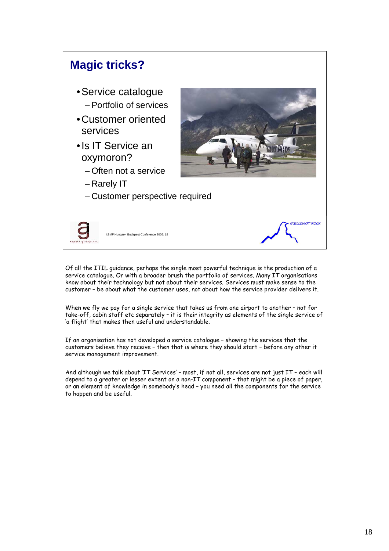

Of all the ITIL guidance, perhaps the single most powerful technique is the production of a service catalogue. Or with a broader brush the portfolio of services. Many IT organisations know about their technology but not about their services. Services must make sense to the customer – be about what the customer uses, not about how the service provider delivers it.

When we fly we pay for a single service that takes us from one airport to another – not for take-off, cabin staff etc separately – it is their integrity as elements of the single service of 'a flight' that makes then useful and understandable.

If an organisation has not developed a service catalogue – showing the services that the customers believe they receive – then that is where they should start – before any other it service management improvement.

And although we talk about 'IT Services' – most, if not all, services are not just IT – each will depend to a greater or lesser extent on a non-IT component – that might be a piece of paper, or an element of knowledge in somebody's head – you need all the components for the service to happen and be useful.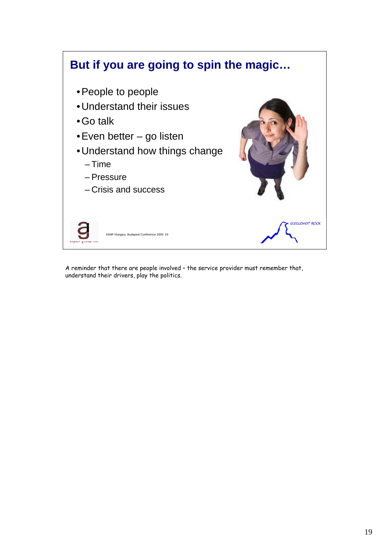

A reminder that there are people involved – the service provider must remember that, understand their drivers, play the politics.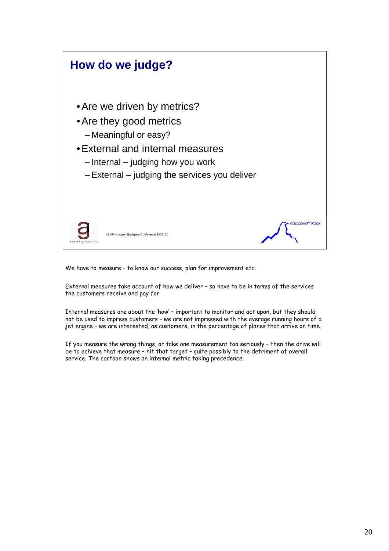

We have to measure – to know our success, plan for improvement etc.

External measures take account of how we deliver – so have to be in terms of the services the customers receive and pay for

Internal measures are about the 'how' – important to monitor and act upon, but they should not be used to impress customers – we are not impressed with the average running hours of a jet engine – we are interested, as customers, in the percentage of planes that arrive on time.

If you measure the wrong things, or take one measurement too seriously – then the drive will be to achieve that measure – hit that target – quite possibly to the detriment of overall service. The cartoon shows an internal metric taking precedence.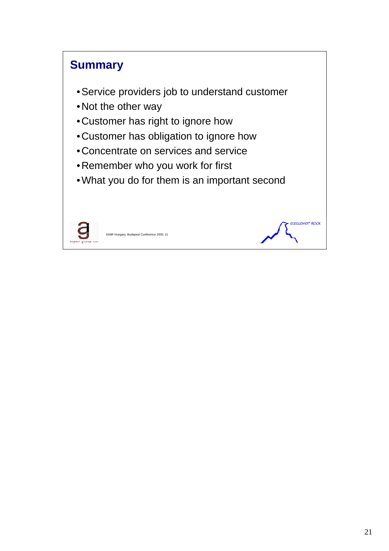## **Summary**

- •Service providers job to understand customer
- •Not the other way
- •Customer has right to ignore how
- •Customer has obligation to ignore how
- •Concentrate on services and service
- •Remember who you work for first
- •What you do for them is an important second



itSMF Hungary, Budapest Conference 2005: 21